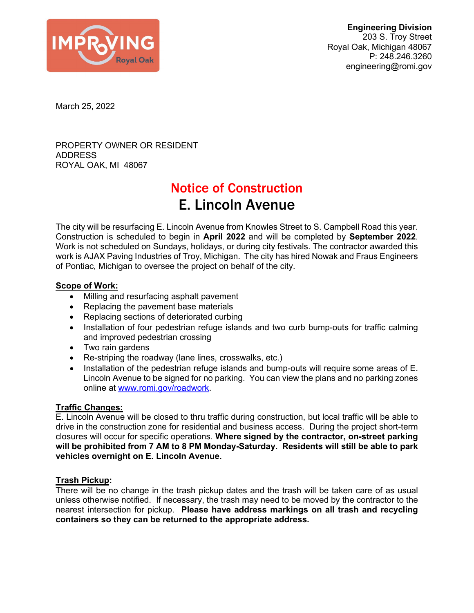

March 25, 2022

PROPERTY OWNER OR RESIDENT ADDRESS ROYAL OAK, MI 48067

# Notice of Construction E. Lincoln Avenue

The city will be resurfacing E. Lincoln Avenue from Knowles Street to S. Campbell Road this year. Construction is scheduled to begin in **April 2022** and will be completed by **September 2022**. Work is not scheduled on Sundays, holidays, or during city festivals. The contractor awarded this work is AJAX Paving Industries of Troy, Michigan. The city has hired Nowak and Fraus Engineers of Pontiac, Michigan to oversee the project on behalf of the city.

## **Scope of Work:**

- Milling and resurfacing asphalt pavement
- Replacing the pavement base materials
- Replacing sections of deteriorated curbing
- Installation of four pedestrian refuge islands and two curb bump-outs for traffic calming and improved pedestrian crossing
- Two rain gardens
- Re-striping the roadway (lane lines, crosswalks, etc.)
- Installation of the pedestrian refuge islands and bump-outs will require some areas of E. Lincoln Avenue to be signed for no parking. You can view the plans and no parking zones online at www.romi.gov/roadwork.

## **Traffic Changes:**

E. Lincoln Avenue will be closed to thru traffic during construction, but local traffic will be able to drive in the construction zone for residential and business access. During the project short-term closures will occur for specific operations. **Where signed by the contractor, on-street parking will be prohibited from 7 AM to 8 PM Monday-Saturday. Residents will still be able to park vehicles overnight on E. Lincoln Avenue.** 

## **Trash Pickup:**

There will be no change in the trash pickup dates and the trash will be taken care of as usual unless otherwise notified. If necessary, the trash may need to be moved by the contractor to the nearest intersection for pickup. **Please have address markings on all trash and recycling containers so they can be returned to the appropriate address.**